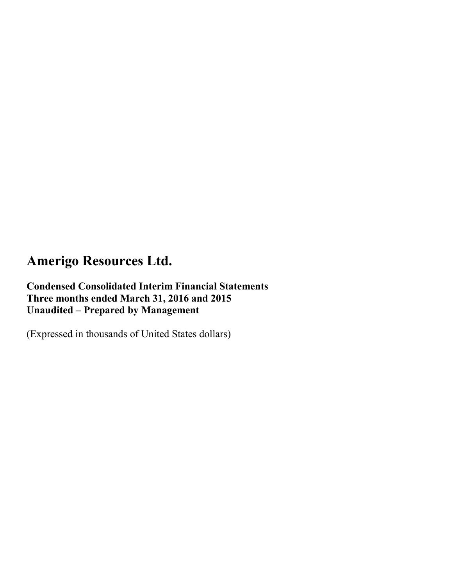### **Condensed Consolidated Interim Financial Statements Three months ended March 31, 2016 and 2015 Unaudited – Prepared by Management**

(Expressed in thousands of United States dollars)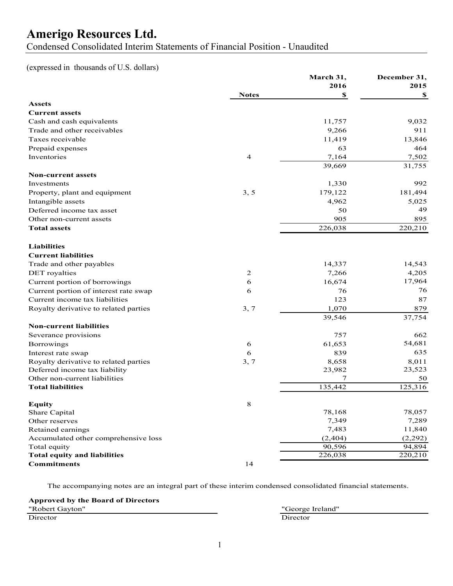Condensed Consolidated Interim Statements of Financial Position - Unaudited

(expressed in thousands of U.S. dollars)

|                                       |                | March 31, | December 31, |
|---------------------------------------|----------------|-----------|--------------|
|                                       |                | 2016      | 2015         |
|                                       | <b>Notes</b>   | \$        | \$           |
| <b>Assets</b>                         |                |           |              |
| <b>Current assets</b>                 |                |           |              |
| Cash and cash equivalents             |                | 11,757    | 9,032        |
| Trade and other receivables           |                | 9,266     | 911          |
| Taxes receivable                      |                | 11,419    | 13,846       |
| Prepaid expenses                      |                | 63        | 464          |
| Inventories                           | $\overline{4}$ | 7,164     | 7,502        |
|                                       |                | 39,669    | 31,755       |
| <b>Non-current assets</b>             |                |           |              |
| Investments                           |                | 1,330     | 992          |
| Property, plant and equipment         | 3, 5           | 179,122   | 181,494      |
| Intangible assets                     |                | 4,962     | 5,025        |
| Deferred income tax asset             |                | 50        | 49           |
| Other non-current assets              |                | 905       | 895          |
| <b>Total assets</b>                   |                | 226,038   | 220,210      |
|                                       |                |           |              |
| <b>Liabilities</b>                    |                |           |              |
| <b>Current liabilities</b>            |                |           |              |
| Trade and other payables              |                | 14,337    | 14,543       |
| DET royalties                         | $\mathbf{2}$   | 7,266     | 4,205        |
| Current portion of borrowings         | 6              | 16,674    | 17,964       |
| Current portion of interest rate swap | 6              | 76        | 76           |
| Current income tax liabilities        |                | 123       | 87           |
| Royalty derivative to related parties | 3, 7           | 1,070     | 879          |
|                                       |                | 39,546    | 37,754       |
| <b>Non-current liabilities</b>        |                |           |              |
| Severance provisions                  |                | 757       | 662          |
| <b>Borrowings</b>                     | 6              | 61,653    | 54,681       |
| Interest rate swap                    | 6              | 839       | 635          |
| Royalty derivative to related parties | 3, 7           | 8,658     | 8,011        |
| Deferred income tax liability         |                | 23,982    | 23,523       |
| Other non-current liabilities         |                | 7         | 50           |
| <b>Total liabilities</b>              |                | 135,442   | 125,316      |
|                                       |                |           |              |
| <b>Equity</b>                         | 8              |           |              |
| Share Capital                         |                | 78,168    | 78,057       |
| Other reserves                        |                | 7,349     | 7,289        |
| Retained earnings                     |                | 7,483     | 11,840       |
| Accumulated other comprehensive loss  |                | (2, 404)  | (2,292)      |
| Total equity                          |                | 90,596    | 94,894       |
| <b>Total equity and liabilities</b>   |                | 226,038   | 220,210      |
| <b>Commitments</b>                    | 14             |           |              |

The accompanying notes are an integral part of these interim condensed consolidated financial statements.

**Approved by the Board of Directors**

"Robert Gayton" "George Ireland" Director Director Director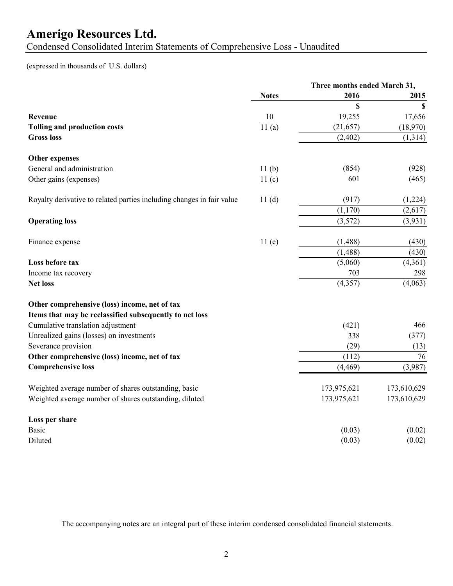Condensed Consolidated Interim Statements of Comprehensive Loss - Unaudited

### (expressed in thousands of U.S. dollars)

|                                                                       |                   | Three months ended March 31, |             |
|-----------------------------------------------------------------------|-------------------|------------------------------|-------------|
|                                                                       | <b>Notes</b>      | 2016                         | 2015        |
|                                                                       |                   | \$                           | $\mathbf S$ |
| Revenue                                                               | 10                | 19,255                       | 17,656      |
| <b>Tolling and production costs</b>                                   | 11(a)             | (21, 657)                    | (18,970)    |
| <b>Gross loss</b>                                                     |                   | (2, 402)                     | (1,314)     |
| Other expenses                                                        |                   |                              |             |
| General and administration                                            | 11(b)             | (854)                        | (928)       |
| Other gains (expenses)                                                | 11 <sub>(c)</sub> | 601                          | (465)       |
| Royalty derivative to related parties including changes in fair value | 11(d)             | (917)                        | (1,224)     |
|                                                                       |                   | (1,170)                      | (2,617)     |
| <b>Operating loss</b>                                                 |                   | (3,572)                      | (3,931)     |
| Finance expense                                                       | 11(e)             | (1, 488)                     | (430)       |
|                                                                       |                   | (1, 488)                     | (430)       |
| Loss before tax                                                       |                   | (5,060)                      | (4,361)     |
| Income tax recovery                                                   |                   | 703                          | 298         |
| <b>Net loss</b>                                                       |                   | (4, 357)                     | (4,063)     |
| Other comprehensive (loss) income, net of tax                         |                   |                              |             |
| Items that may be reclassified subsequently to net loss               |                   |                              |             |
| Cumulative translation adjustment                                     |                   | (421)                        | 466         |
| Unrealized gains (losses) on investments                              |                   | 338                          | (377)       |
| Severance provision                                                   |                   | (29)                         | (13)        |
| Other comprehensive (loss) income, net of tax                         |                   | (112)                        | 76          |
| <b>Comprehensive loss</b>                                             |                   | (4, 469)                     | (3,987)     |
| Weighted average number of shares outstanding, basic                  |                   | 173,975,621                  | 173,610,629 |
| Weighted average number of shares outstanding, diluted                |                   | 173,975,621                  | 173,610,629 |
| Loss per share                                                        |                   |                              |             |
| <b>Basic</b>                                                          |                   | (0.03)                       | (0.02)      |
| Diluted                                                               |                   | (0.03)                       | (0.02)      |

The accompanying notes are an integral part of these interim condensed consolidated financial statements.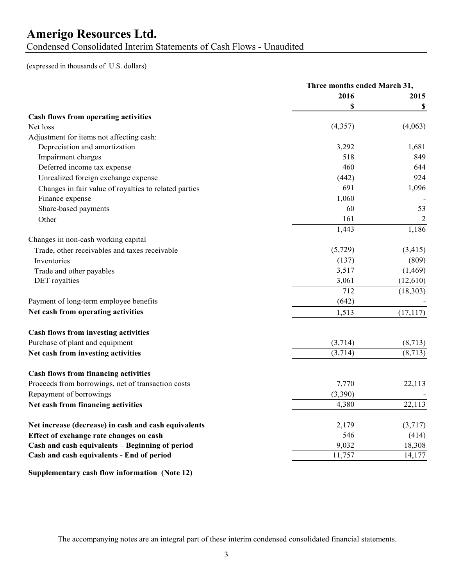### **Amerigo Resources Ltd.** Condensed Consolidated Interim Statements of Cash Flows - Unaudited

(expressed in thousands of U.S. dollars)

|                                                       | Three months ended March 31, |           |
|-------------------------------------------------------|------------------------------|-----------|
|                                                       | 2016                         | 2015      |
|                                                       | \$                           | \$        |
| Cash flows from operating activities                  |                              |           |
| Net loss                                              | (4,357)                      | (4,063)   |
| Adjustment for items not affecting cash:              |                              |           |
| Depreciation and amortization                         | 3,292                        | 1,681     |
| Impairment charges                                    | 518                          | 849       |
| Deferred income tax expense                           | 460                          | 644       |
| Unrealized foreign exchange expense                   | (442)                        | 924       |
| Changes in fair value of royalties to related parties | 691                          | 1,096     |
| Finance expense                                       | 1,060                        |           |
| Share-based payments                                  | 60                           | 53        |
| Other                                                 | 161                          | 2         |
|                                                       | 1,443                        | 1,186     |
| Changes in non-cash working capital                   |                              |           |
| Trade, other receivables and taxes receivable         | (5,729)                      | (3, 415)  |
| Inventories                                           | (137)                        | (809)     |
| Trade and other payables                              | 3,517                        | (1, 469)  |
| DET royalties                                         | 3,061                        | (12,610)  |
|                                                       | 712                          | (18, 303) |
| Payment of long-term employee benefits                | (642)                        |           |
| Net cash from operating activities                    | 1,513                        | (17, 117) |
|                                                       |                              |           |
| Cash flows from investing activities                  |                              |           |
| Purchase of plant and equipment                       | (3,714)                      | (8,713)   |
| Net cash from investing activities                    | (3,714)                      | (8,713)   |
|                                                       |                              |           |
| <b>Cash flows from financing activities</b>           |                              |           |
| Proceeds from borrowings, net of transaction costs    | 7,770                        | 22,113    |
| Repayment of borrowings                               | (3,390)                      |           |
| Net cash from financing activities                    | 4,380                        | 22,113    |
|                                                       |                              |           |
| Net increase (decrease) in cash and cash equivalents  | 2,179                        | (3,717)   |
| Effect of exchange rate changes on cash               | 546                          | (414)     |
| Cash and cash equivalents - Beginning of period       | 9,032                        | 18,308    |
| Cash and cash equivalents - End of period             | 11,757                       | 14,177    |
| Supplementary cash flow information (Note 12)         |                              |           |

The accompanying notes are an integral part of these interim condensed consolidated financial statements.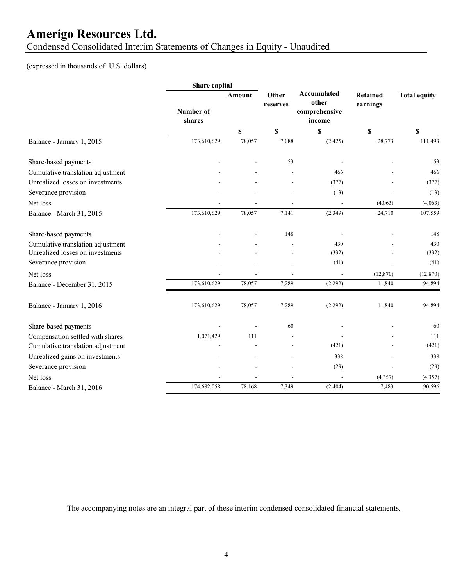Condensed Consolidated Interim Statements of Changes in Equity - Unaudited

### (expressed in thousands of U.S. dollars)

|                                                                       | Share capital       |                           |                   |                                                        |                             |                     |
|-----------------------------------------------------------------------|---------------------|---------------------------|-------------------|--------------------------------------------------------|-----------------------------|---------------------|
|                                                                       | Number of<br>shares | <b>Amount</b>             | Other<br>reserves | <b>Accumulated</b><br>other<br>comprehensive<br>income | <b>Retained</b><br>earnings | <b>Total equity</b> |
|                                                                       |                     | $\boldsymbol{\mathsf{S}}$ | \$                | \$                                                     | \$                          | \$                  |
| Balance - January 1, 2015                                             | 173,610,629         | 78,057                    | 7,088             | (2, 425)                                               | 28,773                      | 111,493             |
| Share-based payments                                                  |                     |                           | 53                |                                                        |                             | 53                  |
| Cumulative translation adjustment                                     |                     |                           |                   | 466                                                    |                             | 466                 |
| Unrealized losses on investments                                      |                     |                           |                   | (377)                                                  |                             | (377)               |
| Severance provision                                                   |                     |                           |                   | (13)                                                   |                             | (13)                |
| Net loss                                                              |                     |                           |                   |                                                        | (4,063)                     | (4,063)             |
| Balance - March 31, 2015                                              | 173,610,629         | 78,057                    | 7,141             | (2,349)                                                | 24,710                      | 107,559             |
| Share-based payments                                                  |                     |                           | 148               |                                                        |                             | 148                 |
| Cumulative translation adjustment<br>Unrealized losses on investments |                     |                           |                   | 430<br>(332)                                           |                             | 430<br>(332)        |
| Severance provision                                                   |                     |                           |                   | (41)                                                   |                             | (41)                |
| Net loss                                                              |                     | ٠                         |                   | $\overline{\phantom{a}}$                               | (12, 870)                   | (12, 870)           |
| Balance - December 31, 2015                                           | 173,610,629         | 78,057                    | 7,289             | (2,292)                                                | 11,840                      | 94,894              |
| Balance - January 1, 2016                                             | 173,610,629         | 78,057                    | 7,289             | (2,292)                                                | 11,840                      | 94,894              |
| Share-based payments                                                  |                     |                           | 60                |                                                        |                             | 60                  |
| Compensation settled with shares                                      | 1,071,429           | 111                       |                   |                                                        |                             | 111                 |
| Cumulative translation adjustment                                     |                     |                           |                   | (421)                                                  |                             | (421)               |
| Unrealized gains on investments                                       |                     |                           |                   | 338                                                    |                             | 338                 |
| Severance provision                                                   |                     |                           |                   | (29)                                                   |                             | (29)                |
| Net loss                                                              |                     |                           |                   |                                                        | (4, 357)                    | (4, 357)            |
| Balance - March 31, 2016                                              | 174,682,058         | 78,168                    | 7,349             | (2,404)                                                | 7,483                       | 90,596              |

The accompanying notes are an integral part of these interim condensed consolidated financial statements.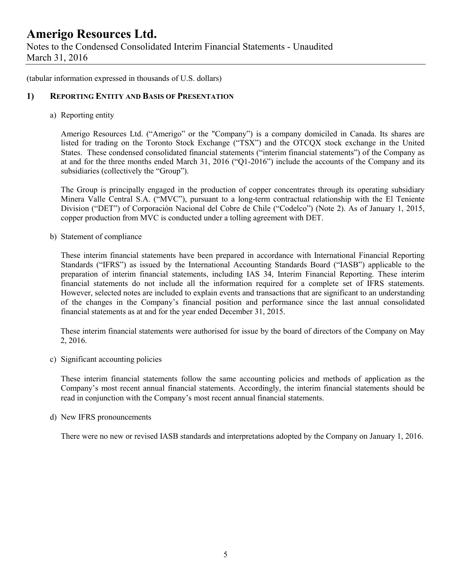Notes to the Condensed Consolidated Interim Financial Statements - Unaudited March 31, 2016

(tabular information expressed in thousands of U.S. dollars)

### **1) REPORTING ENTITY AND BASIS OF PRESENTATION**

a) Reporting entity

Amerigo Resources Ltd. ("Amerigo" or the "Company") is a company domiciled in Canada. Its shares are listed for trading on the Toronto Stock Exchange ("TSX") and the OTCQX stock exchange in the United States. These condensed consolidated financial statements ("interim financial statements") of the Company as at and for the three months ended March 31, 2016 ("Q1-2016") include the accounts of the Company and its subsidiaries (collectively the "Group").

The Group is principally engaged in the production of copper concentrates through its operating subsidiary Minera Valle Central S.A. ("MVC"), pursuant to a long-term contractual relationship with the El Teniente Division ("DET") of Corporación Nacional del Cobre de Chile ("Codelco") (Note 2). As of January 1, 2015, copper production from MVC is conducted under a tolling agreement with DET.

b) Statement of compliance

These interim financial statements have been prepared in accordance with International Financial Reporting Standards ("IFRS") as issued by the International Accounting Standards Board ("IASB") applicable to the preparation of interim financial statements, including IAS 34, Interim Financial Reporting. These interim financial statements do not include all the information required for a complete set of IFRS statements. However, selected notes are included to explain events and transactions that are significant to an understanding of the changes in the Company's financial position and performance since the last annual consolidated financial statements as at and for the year ended December 31, 2015.

These interim financial statements were authorised for issue by the board of directors of the Company on May 2, 2016.

c) Significant accounting policies

These interim financial statements follow the same accounting policies and methods of application as the Company's most recent annual financial statements. Accordingly, the interim financial statements should be read in conjunction with the Company's most recent annual financial statements.

d) New IFRS pronouncements

There were no new or revised IASB standards and interpretations adopted by the Company on January 1, 2016.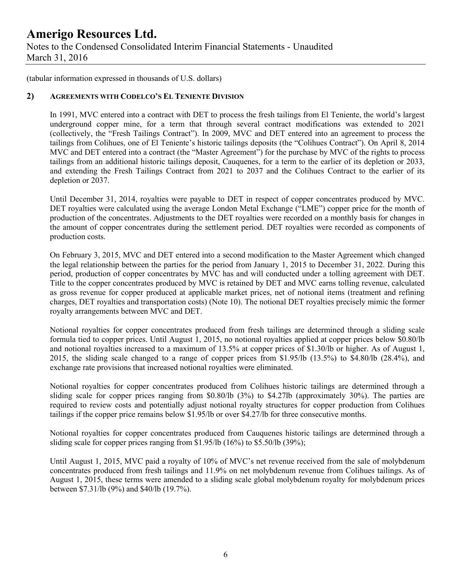### **Amerigo Resources Ltd.** Notes to the Condensed Consolidated Interim Financial Statements - Unaudited March 31, 2016

(tabular information expressed in thousands of U.S. dollars)

#### **2) AGREEMENTS WITH CODELCO'S EL TENIENTE DIVISION**

In 1991, MVC entered into a contract with DET to process the fresh tailings from El Teniente, the world's largest underground copper mine, for a term that through several contract modifications was extended to 2021 (collectively, the "Fresh Tailings Contract"). In 2009, MVC and DET entered into an agreement to process the tailings from Colihues, one of El Teniente's historic tailings deposits (the "Colihues Contract"). On April 8, 2014 MVC and DET entered into a contract (the "Master Agreement") for the purchase by MVC of the rights to process tailings from an additional historic tailings deposit, Cauquenes, for a term to the earlier of its depletion or 2033, and extending the Fresh Tailings Contract from 2021 to 2037 and the Colihues Contract to the earlier of its depletion or 2037.

Until December 31, 2014, royalties were payable to DET in respect of copper concentrates produced by MVC. DET royalties were calculated using the average London Metal Exchange ("LME") copper price for the month of production of the concentrates. Adjustments to the DET royalties were recorded on a monthly basis for changes in the amount of copper concentrates during the settlement period. DET royalties were recorded as components of production costs.

On February 3, 2015, MVC and DET entered into a second modification to the Master Agreement which changed the legal relationship between the parties for the period from January 1, 2015 to December 31, 2022. During this period, production of copper concentrates by MVC has and will conducted under a tolling agreement with DET. Title to the copper concentrates produced by MVC is retained by DET and MVC earns tolling revenue, calculated as gross revenue for copper produced at applicable market prices, net of notional items (treatment and refining charges, DET royalties and transportation costs) (Note 10). The notional DET royalties precisely mimic the former royalty arrangements between MVC and DET.

Notional royalties for copper concentrates produced from fresh tailings are determined through a sliding scale formula tied to copper prices. Until August 1, 2015, no notional royalties applied at copper prices below \$0.80/lb and notional royalties increased to a maximum of 13.5% at copper prices of \$1.30/lb or higher. As of August 1, 2015, the sliding scale changed to a range of copper prices from \$1.95/lb (13.5%) to \$4.80/lb (28.4%), and exchange rate provisions that increased notional royalties were eliminated.

Notional royalties for copper concentrates produced from Colihues historic tailings are determined through a sliding scale for copper prices ranging from \$0.80/lb (3%) to \$4.27lb (approximately 30%). The parties are required to review costs and potentially adjust notional royalty structures for copper production from Colihues tailings if the copper price remains below \$1.95/lb or over \$4.27/lb for three consecutive months.

Notional royalties for copper concentrates produced from Cauquenes historic tailings are determined through a sliding scale for copper prices ranging from \$1.95/lb (16%) to \$5.50/lb (39%);

Until August 1, 2015, MVC paid a royalty of 10% of MVC's net revenue received from the sale of molybdenum concentrates produced from fresh tailings and 11.9% on net molybdenum revenue from Colihues tailings. As of August 1, 2015, these terms were amended to a sliding scale global molybdenum royalty for molybdenum prices between \$7.31/lb (9%) and \$40/lb (19.7%).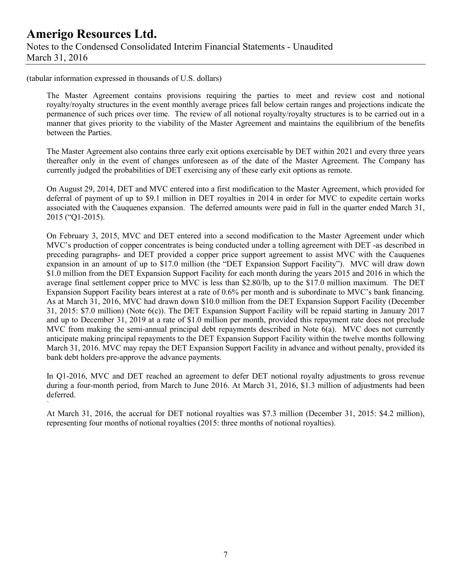(tabular information expressed in thousands of U.S. dollars)

`

The Master Agreement contains provisions requiring the parties to meet and review cost and notional royalty/royalty structures in the event monthly average prices fall below certain ranges and projections indicate the permanence of such prices over time. The review of all notional royalty/royalty structures is to be carried out in a manner that gives priority to the viability of the Master Agreement and maintains the equilibrium of the benefits between the Parties.

The Master Agreement also contains three early exit options exercisable by DET within 2021 and every three years thereafter only in the event of changes unforeseen as of the date of the Master Agreement. The Company has currently judged the probabilities of DET exercising any of these early exit options as remote.

On August 29, 2014, DET and MVC entered into a first modification to the Master Agreement, which provided for deferral of payment of up to \$9.1 million in DET royalties in 2014 in order for MVC to expedite certain works associated with the Cauquenes expansion. The deferred amounts were paid in full in the quarter ended March 31, 2015 ("Q1-2015).

On February 3, 2015, MVC and DET entered into a second modification to the Master Agreement under which MVC's production of copper concentrates is being conducted under a tolling agreement with DET -as described in preceding paragraphs- and DET provided a copper price support agreement to assist MVC with the Cauquenes expansion in an amount of up to \$17.0 million (the "DET Expansion Support Facility"). MVC will draw down \$1.0 million from the DET Expansion Support Facility for each month during the years 2015 and 2016 in which the average final settlement copper price to MVC is less than \$2.80/lb, up to the \$17.0 million maximum. The DET Expansion Support Facility bears interest at a rate of 0.6% per month and is subordinate to MVC's bank financing. As at March 31, 2016, MVC had drawn down \$10.0 million from the DET Expansion Support Facility (December 31, 2015: \$7.0 million) (Note 6(c)). The DET Expansion Support Facility will be repaid starting in January 2017 and up to December 31, 2019 at a rate of \$1.0 million per month, provided this repayment rate does not preclude MVC from making the semi-annual principal debt repayments described in Note 6(a). MVC does not currently anticipate making principal repayments to the DET Expansion Support Facility within the twelve months following March 31, 2016. MVC may repay the DET Expansion Support Facility in advance and without penalty, provided its bank debt holders pre-approve the advance payments.

In Q1-2016, MVC and DET reached an agreement to defer DET notional royalty adjustments to gross revenue during a four-month period, from March to June 2016. At March 31, 2016, \$1.3 million of adjustments had been deferred.

At March 31, 2016, the accrual for DET notional royalties was \$7.3 million (December 31, 2015: \$4.2 million), representing four months of notional royalties (2015: three months of notional royalties).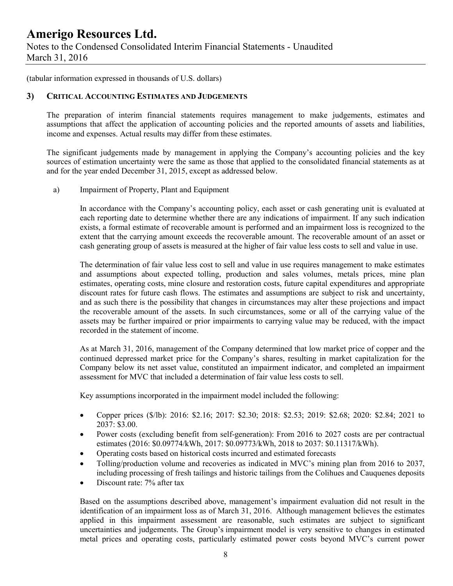### **Amerigo Resources Ltd.** Notes to the Condensed Consolidated Interim Financial Statements - Unaudited March 31, 2016

(tabular information expressed in thousands of U.S. dollars)

#### **3) CRITICAL ACCOUNTING ESTIMATES AND JUDGEMENTS**

The preparation of interim financial statements requires management to make judgements, estimates and assumptions that affect the application of accounting policies and the reported amounts of assets and liabilities, income and expenses. Actual results may differ from these estimates.

The significant judgements made by management in applying the Company's accounting policies and the key sources of estimation uncertainty were the same as those that applied to the consolidated financial statements as at and for the year ended December 31, 2015, except as addressed below.

a) Impairment of Property, Plant and Equipment

In accordance with the Company's accounting policy, each asset or cash generating unit is evaluated at each reporting date to determine whether there are any indications of impairment. If any such indication exists, a formal estimate of recoverable amount is performed and an impairment loss is recognized to the extent that the carrying amount exceeds the recoverable amount. The recoverable amount of an asset or cash generating group of assets is measured at the higher of fair value less costs to sell and value in use.

The determination of fair value less cost to sell and value in use requires management to make estimates and assumptions about expected tolling, production and sales volumes, metals prices, mine plan estimates, operating costs, mine closure and restoration costs, future capital expenditures and appropriate discount rates for future cash flows. The estimates and assumptions are subject to risk and uncertainty, and as such there is the possibility that changes in circumstances may alter these projections and impact the recoverable amount of the assets. In such circumstances, some or all of the carrying value of the assets may be further impaired or prior impairments to carrying value may be reduced, with the impact recorded in the statement of income.

As at March 31, 2016, management of the Company determined that low market price of copper and the continued depressed market price for the Company's shares, resulting in market capitalization for the Company below its net asset value, constituted an impairment indicator, and completed an impairment assessment for MVC that included a determination of fair value less costs to sell.

Key assumptions incorporated in the impairment model included the following:

- Copper prices (\$/lb): 2016: \$2.16; 2017: \$2.30; 2018: \$2.53; 2019: \$2.68; 2020: \$2.84; 2021 to 2037: \$3.00.
- Power costs (excluding benefit from self-generation): From 2016 to 2027 costs are per contractual estimates (2016: \$0.09774/kWh, 2017: \$0.09773/kWh, 2018 to 2037: \$0.11317/kWh).
- Operating costs based on historical costs incurred and estimated forecasts
- Tolling/production volume and recoveries as indicated in MVC's mining plan from 2016 to 2037, including processing of fresh tailings and historic tailings from the Colihues and Cauquenes deposits
- Discount rate: 7% after tax

Based on the assumptions described above, management's impairment evaluation did not result in the identification of an impairment loss as of March 31, 2016. Although management believes the estimates applied in this impairment assessment are reasonable, such estimates are subject to significant uncertainties and judgements. The Group's impairment model is very sensitive to changes in estimated metal prices and operating costs, particularly estimated power costs beyond MVC's current power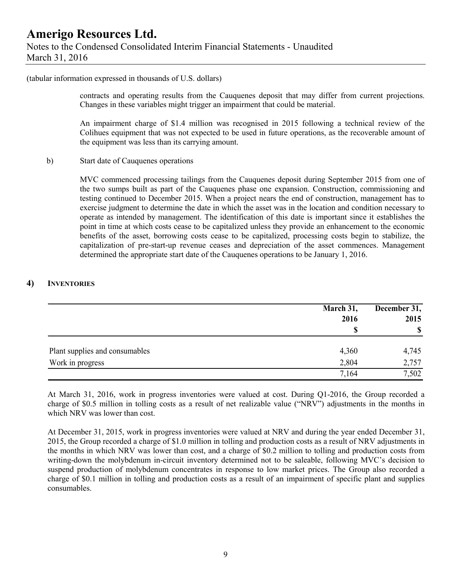(tabular information expressed in thousands of U.S. dollars)

contracts and operating results from the Cauquenes deposit that may differ from current projections. Changes in these variables might trigger an impairment that could be material.

An impairment charge of \$1.4 million was recognised in 2015 following a technical review of the Colihues equipment that was not expected to be used in future operations, as the recoverable amount of the equipment was less than its carrying amount.

b) Start date of Cauquenes operations

MVC commenced processing tailings from the Cauquenes deposit during September 2015 from one of the two sumps built as part of the Cauquenes phase one expansion. Construction, commissioning and testing continued to December 2015. When a project nears the end of construction, management has to exercise judgment to determine the date in which the asset was in the location and condition necessary to operate as intended by management. The identification of this date is important since it establishes the point in time at which costs cease to be capitalized unless they provide an enhancement to the economic benefits of the asset, borrowing costs cease to be capitalized, processing costs begin to stabilize, the capitalization of pre-start-up revenue ceases and depreciation of the asset commences. Management determined the appropriate start date of the Cauquenes operations to be January 1, 2016.

#### **4) INVENTORIES**

|                                | March 31,<br>2016 | December 31,<br>2015 |
|--------------------------------|-------------------|----------------------|
|                                | \$                | $\mathbf S$          |
| Plant supplies and consumables | 4,360             | 4,745                |
| Work in progress               | 2,804             | 2,757                |
|                                | 7,164             | 7,502                |

At March 31, 2016, work in progress inventories were valued at cost. During Q1-2016, the Group recorded a charge of \$0.5 million in tolling costs as a result of net realizable value ("NRV") adjustments in the months in which NRV was lower than cost.

At December 31, 2015, work in progress inventories were valued at NRV and during the year ended December 31, 2015, the Group recorded a charge of \$1.0 million in tolling and production costs as a result of NRV adjustments in the months in which NRV was lower than cost, and a charge of \$0.2 million to tolling and production costs from writing-down the molybdenum in-circuit inventory determined not to be saleable, following MVC's decision to suspend production of molybdenum concentrates in response to low market prices. The Group also recorded a charge of \$0.1 million in tolling and production costs as a result of an impairment of specific plant and supplies consumables.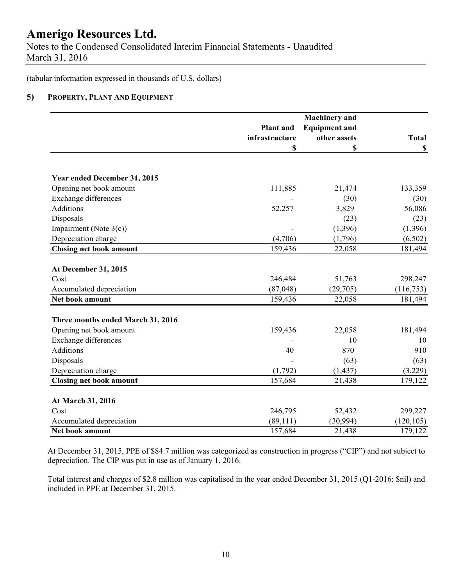Notes to the Condensed Consolidated Interim Financial Statements - Unaudited March 31, 2016

(tabular information expressed in thousands of U.S. dollars)

#### **5) PROPERTY, PLANT AND EQUIPMENT**

|                                   |                  | <b>Machinery</b> and |              |
|-----------------------------------|------------------|----------------------|--------------|
|                                   | <b>Plant</b> and | <b>Equipment and</b> |              |
|                                   | infrastructure   | other assets         | <b>Total</b> |
|                                   | \$               | \$                   | $\mathbb S$  |
| Year ended December 31, 2015      |                  |                      |              |
| Opening net book amount           | 111,885          | 21,474               | 133,359      |
| <b>Exchange differences</b>       |                  | (30)                 | (30)         |
| Additions                         | 52,257           | 3,829                | 56,086       |
| Disposals                         |                  | (23)                 | (23)         |
| Impairment (Note $3(c)$ )         |                  | (1, 396)             | (1, 396)     |
| Depreciation charge               | (4,706)          | (1,796)              | (6,502)      |
| <b>Closing net book amount</b>    | 159,436          | 22,058               | 181,494      |
| At December 31, 2015              |                  |                      |              |
| Cost                              | 246,484          | 51,763               | 298,247      |
| Accumulated depreciation          | (87, 048)        | (29, 705)            | (116, 753)   |
| Net book amount                   | 159,436          | 22,058               | 181,494      |
| Three months ended March 31, 2016 |                  |                      |              |
| Opening net book amount           | 159,436          | 22,058               | 181,494      |
| <b>Exchange differences</b>       |                  | 10                   | 10           |
| Additions                         | 40               | 870                  | 910          |
| Disposals                         |                  | (63)                 | (63)         |
| Depreciation charge               | (1,792)          | (1, 437)             | (3,229)      |
| <b>Closing net book amount</b>    | 157,684          | 21,438               | 179,122      |
| At March 31, 2016                 |                  |                      |              |
| Cost                              | 246,795          | 52,432               | 299,227      |
| Accumulated depreciation          | (89, 111)        | (30, 994)            | (120, 105)   |
| Net book amount                   | 157,684          | 21,438               | 179,122      |

At December 31, 2015, PPE of \$84.7 million was categorized as construction in progress ("CIP") and not subject to depreciation. The CIP was put in use as of January 1, 2016.

Total interest and charges of \$2.8 million was capitalised in the year ended December 31, 2015 (Q1-2016: \$nil) and included in PPE at December 31, 2015.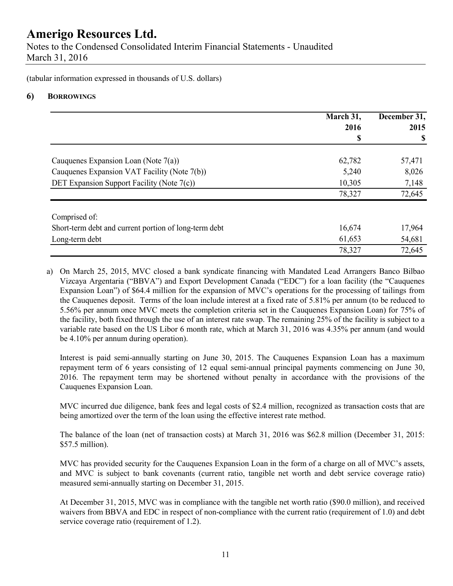Notes to the Condensed Consolidated Interim Financial Statements - Unaudited March 31, 2016

(tabular information expressed in thousands of U.S. dollars)

#### **6) BORROWINGS**

|                                                       | March 31, | December 31, |
|-------------------------------------------------------|-----------|--------------|
|                                                       | 2016      | 2015         |
|                                                       | \$        | \$           |
| Cauquenes Expansion Loan (Note $7(a)$ )               | 62,782    | 57,471       |
| Cauquenes Expansion VAT Facility (Note 7(b))          | 5,240     | 8,026        |
| DET Expansion Support Facility (Note 7(c))            | 10,305    | 7,148        |
|                                                       | 78,327    | 72,645       |
| Comprised of:                                         |           |              |
| Short-term debt and current portion of long-term debt | 16,674    | 17,964       |
| Long-term debt                                        | 61,653    | 54,681       |
|                                                       | 78,327    | 72,645       |

a) On March 25, 2015, MVC closed a bank syndicate financing with Mandated Lead Arrangers Banco Bilbao Vizcaya Argentaria ("BBVA") and Export Development Canada ("EDC") for a loan facility (the "Cauquenes Expansion Loan") of \$64.4 million for the expansion of MVC's operations for the processing of tailings from the Cauquenes deposit. Terms of the loan include interest at a fixed rate of 5.81% per annum (to be reduced to 5.56% per annum once MVC meets the completion criteria set in the Cauquenes Expansion Loan) for 75% of the facility, both fixed through the use of an interest rate swap. The remaining 25% of the facility is subject to a variable rate based on the US Libor 6 month rate, which at March 31, 2016 was 4.35% per annum (and would be 4.10% per annum during operation).

Interest is paid semi-annually starting on June 30, 2015. The Cauquenes Expansion Loan has a maximum repayment term of 6 years consisting of 12 equal semi-annual principal payments commencing on June 30, 2016. The repayment term may be shortened without penalty in accordance with the provisions of the Cauquenes Expansion Loan.

MVC incurred due diligence, bank fees and legal costs of \$2.4 million, recognized as transaction costs that are being amortized over the term of the loan using the effective interest rate method.

The balance of the loan (net of transaction costs) at March 31, 2016 was \$62.8 million (December 31, 2015: \$57.5 million).

MVC has provided security for the Cauquenes Expansion Loan in the form of a charge on all of MVC's assets, and MVC is subject to bank covenants (current ratio, tangible net worth and debt service coverage ratio) measured semi-annually starting on December 31, 2015.

At December 31, 2015, MVC was in compliance with the tangible net worth ratio (\$90.0 million), and received waivers from BBVA and EDC in respect of non-compliance with the current ratio (requirement of 1.0) and debt service coverage ratio (requirement of 1.2).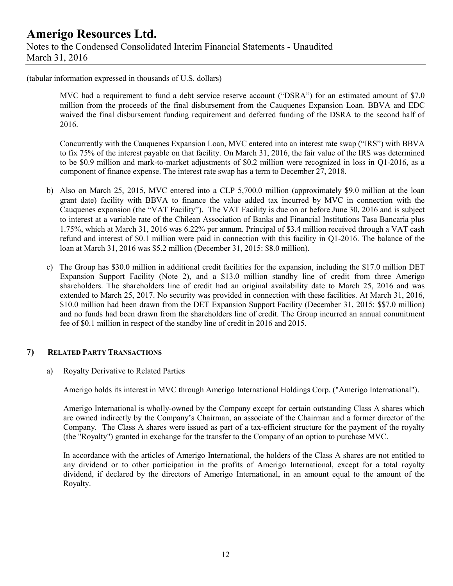(tabular information expressed in thousands of U.S. dollars)

MVC had a requirement to fund a debt service reserve account ("DSRA") for an estimated amount of \$7.0 million from the proceeds of the final disbursement from the Cauquenes Expansion Loan. BBVA and EDC waived the final disbursement funding requirement and deferred funding of the DSRA to the second half of 2016.

Concurrently with the Cauquenes Expansion Loan, MVC entered into an interest rate swap ("IRS") with BBVA to fix 75% of the interest payable on that facility. On March 31, 2016, the fair value of the IRS was determined to be \$0.9 million and mark-to-market adjustments of \$0.2 million were recognized in loss in Q1-2016, as a component of finance expense. The interest rate swap has a term to December 27, 2018.

- b) Also on March 25, 2015, MVC entered into a CLP 5,700.0 million (approximately \$9.0 million at the loan grant date) facility with BBVA to finance the value added tax incurred by MVC in connection with the Cauquenes expansion (the "VAT Facility"). The VAT Facility is due on or before June 30, 2016 and is subject to interest at a variable rate of the Chilean Association of Banks and Financial Institutions Tasa Bancaria plus 1.75%, which at March 31, 2016 was 6.22% per annum. Principal of \$3.4 million received through a VAT cash refund and interest of \$0.1 million were paid in connection with this facility in Q1-2016. The balance of the loan at March 31, 2016 was \$5.2 million (December 31, 2015: \$8.0 million).
- c) The Group has \$30.0 million in additional credit facilities for the expansion, including the \$17.0 million DET Expansion Support Facility (Note 2), and a \$13.0 million standby line of credit from three Amerigo shareholders. The shareholders line of credit had an original availability date to March 25, 2016 and was extended to March 25, 2017. No security was provided in connection with these facilities. At March 31, 2016, \$10.0 million had been drawn from the DET Expansion Support Facility (December 31, 2015: \$\$7.0 million) and no funds had been drawn from the shareholders line of credit. The Group incurred an annual commitment fee of \$0.1 million in respect of the standby line of credit in 2016 and 2015.

#### **7) RELATED PARTY TRANSACTIONS**

a) Royalty Derivative to Related Parties

Amerigo holds its interest in MVC through Amerigo International Holdings Corp. ("Amerigo International").

Amerigo International is wholly-owned by the Company except for certain outstanding Class A shares which are owned indirectly by the Company's Chairman, an associate of the Chairman and a former director of the Company. The Class A shares were issued as part of a tax-efficient structure for the payment of the royalty (the "Royalty") granted in exchange for the transfer to the Company of an option to purchase MVC.

In accordance with the articles of Amerigo International, the holders of the Class A shares are not entitled to any dividend or to other participation in the profits of Amerigo International, except for a total royalty dividend, if declared by the directors of Amerigo International, in an amount equal to the amount of the Royalty.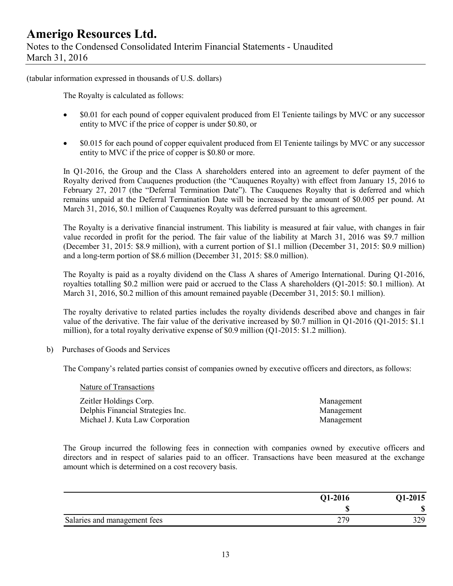Notes to the Condensed Consolidated Interim Financial Statements - Unaudited March 31, 2016

(tabular information expressed in thousands of U.S. dollars)

The Royalty is calculated as follows:

- \$0.01 for each pound of copper equivalent produced from El Teniente tailings by MVC or any successor entity to MVC if the price of copper is under \$0.80, or
- $\degree$  \$0.015 for each pound of copper equivalent produced from El Teniente tailings by MVC or any successor entity to MVC if the price of copper is \$0.80 or more.

In Q1-2016, the Group and the Class A shareholders entered into an agreement to defer payment of the Royalty derived from Cauquenes production (the "Cauquenes Royalty) with effect from January 15, 2016 to February 27, 2017 (the "Deferral Termination Date"). The Cauquenes Royalty that is deferred and which remains unpaid at the Deferral Termination Date will be increased by the amount of \$0.005 per pound. At March 31, 2016, \$0.1 million of Cauquenes Royalty was deferred pursuant to this agreement.

The Royalty is a derivative financial instrument. This liability is measured at fair value, with changes in fair value recorded in profit for the period. The fair value of the liability at March 31, 2016 was \$9.7 million (December 31, 2015: \$8.9 million), with a current portion of \$1.1 million (December 31, 2015: \$0.9 million) and a long-term portion of \$8.6 million (December 31, 2015: \$8.0 million).

The Royalty is paid as a royalty dividend on the Class A shares of Amerigo International. During Q1-2016, royalties totalling \$0.2 million were paid or accrued to the Class A shareholders (Q1-2015: \$0.1 million). At March 31, 2016, \$0.2 million of this amount remained payable (December 31, 2015: \$0.1 million).

The royalty derivative to related parties includes the royalty dividends described above and changes in fair value of the derivative. The fair value of the derivative increased by \$0.7 million in Q1-2016 (Q1-2015: \$1.1 million), for a total royalty derivative expense of \$0.9 million (Q1-2015: \$1.2 million).

b) Purchases of Goods and Services

The Company's related parties consist of companies owned by executive officers and directors, as follows:

Nature of Transactions

Zeitler Holdings Corp. Management Delphis Financial Strategies Inc. Management Michael J. Kuta Law Corporation Management

The Group incurred the following fees in connection with companies owned by executive officers and directors and in respect of salaries paid to an officer. Transactions have been measured at the exchange amount which is determined on a cost recovery basis.

|                              | Q1-2016    | <b>21-2015</b> |
|------------------------------|------------|----------------|
|                              |            | ጣ<br>۱IJ       |
| Salaries and management fees | າາດ<br>∸ ' | 370            |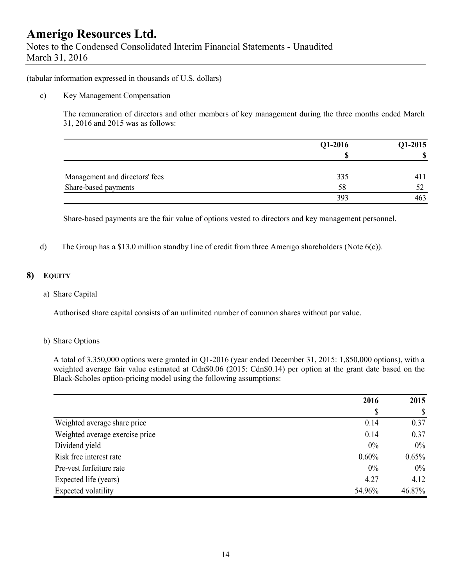Notes to the Condensed Consolidated Interim Financial Statements - Unaudited March 31, 2016

(tabular information expressed in thousands of U.S. dollars)

#### c) Key Management Compensation

The remuneration of directors and other members of key management during the three months ended March 31, 2016 and 2015 was as follows:

|                                | Q1-2016 | Q1-2015 |
|--------------------------------|---------|---------|
|                                | S       |         |
| Management and directors' fees | 335     |         |
| Share-based payments           | 58      |         |
|                                | 393     |         |

Share-based payments are the fair value of options vested to directors and key management personnel.

d) The Group has a \$13.0 million standby line of credit from three Amerigo shareholders (Note 6(c)).

#### **8) EQUITY**

#### a) Share Capital

Authorised share capital consists of an unlimited number of common shares without par value.

#### b) Share Options

A total of 3,350,000 options were granted in Q1-2016 (year ended December 31, 2015: 1,850,000 options), with a weighted average fair value estimated at Cdn\$0.06 (2015: Cdn\$0.14) per option at the grant date based on the Black-Scholes option-pricing model using the following assumptions:

|                                 | 2016     | 2015   |
|---------------------------------|----------|--------|
|                                 | \$       | \$     |
| Weighted average share price    | 0.14     | 0.37   |
| Weighted average exercise price | 0.14     | 0.37   |
| Dividend yield                  | 0%       | $0\%$  |
| Risk free interest rate         | $0.60\%$ | 0.65%  |
| Pre-vest forfeiture rate        | 0%       | $0\%$  |
| Expected life (years)           | 4.27     | 4.12   |
| Expected volatility             | 54.96%   | 46.87% |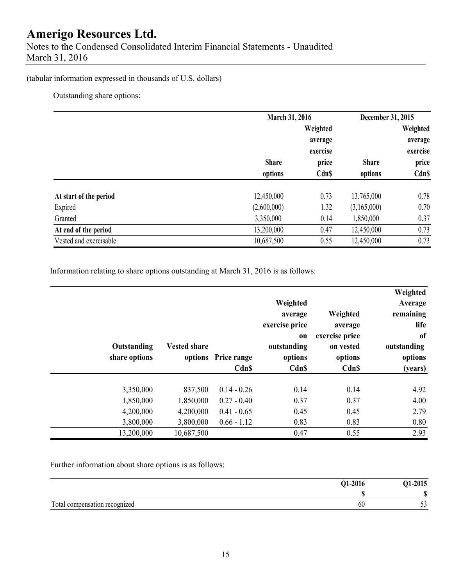Notes to the Condensed Consolidated Interim Financial Statements - Unaudited March 31, 2016

### (tabular information expressed in thousands of U.S. dollars)

Outstanding share options:

|                        | March 31, 2016 |              | December 31, 2015 |              |
|------------------------|----------------|--------------|-------------------|--------------|
|                        |                | Weighted     |                   | Weighted     |
|                        |                | average      |                   | average      |
|                        |                | exercise     |                   | exercise     |
|                        | <b>Share</b>   | price        | <b>Share</b>      | price        |
|                        | options        | <b>Cdn\$</b> | options           | <b>Cdn\$</b> |
| At start of the period | 12,450,000     | 0.73         | 13,765,000        | 0.78         |
| Expired                | (2,600,000)    | 1.32         | (3,165,000)       | 0.70         |
| Granted                | 3,350,000      | 0.14         | 1,850,000         | 0.37         |
| At end of the period   | 13,200,000     | 0.47         | 12,450,000        | 0.73         |
| Vested and exercisable | 10,687,500     | 0.55         | 12,450,000        | 0.73         |

Information relating to share options outstanding at March 31, 2016 is as follows:

| Weighted<br>Average<br>remaining<br>life<br>of<br>outstanding<br>options<br>(years) | Weighted<br>average<br>exercise price<br>on vested<br>options<br>Cdn\$ | Weighted<br>average<br>exercise price<br>on<br>outstanding<br>options<br>Cdn\$ | options Price range<br>Cdn\$ | <b>Vested share</b> | Outstanding<br>share options |  |
|-------------------------------------------------------------------------------------|------------------------------------------------------------------------|--------------------------------------------------------------------------------|------------------------------|---------------------|------------------------------|--|
| 4.92                                                                                | 0.14                                                                   | 0.14                                                                           | $0.14 - 0.26$                | 837,500             | 3,350,000                    |  |
| 4.00                                                                                | 0.37                                                                   | 0.37                                                                           | $0.27 - 0.40$                | 1,850,000           | 1,850,000                    |  |
| 2.79                                                                                | 0.45                                                                   | 0.45                                                                           | $0.41 - 0.65$                | 4,200,000           | 4,200,000                    |  |
| 0.80                                                                                | 0.83                                                                   | 0.83                                                                           | $0.66 - 1.12$                | 3,800,000           | 3,800,000                    |  |
| 2.93                                                                                | 0.55                                                                   | 0.47                                                                           |                              | 10,687,500          | 13,200,000                   |  |

Further information about share options is as follows:

|                               | Q1-2016 | Q1-2015           |
|-------------------------------|---------|-------------------|
|                               |         | $\sqrt{2}$<br>۱Ĵ. |
| Total compensation recognized | 60      | $\sim$<br>ັັ      |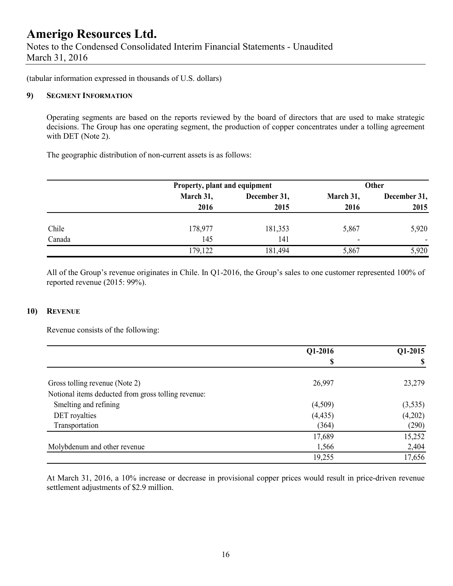Notes to the Condensed Consolidated Interim Financial Statements - Unaudited March 31, 2016

(tabular information expressed in thousands of U.S. dollars)

#### **9) SEGMENT INFORMATION**

Operating segments are based on the reports reviewed by the board of directors that are used to make strategic decisions. The Group has one operating segment, the production of copper concentrates under a tolling agreement with DET (Note 2).

The geographic distribution of non-current assets is as follows:

|        | Property, plant and equipment |              | Other                    |                |  |
|--------|-------------------------------|--------------|--------------------------|----------------|--|
|        | March 31,                     | December 31, | March 31,                | December 31,   |  |
|        | 2016                          | 2015         | 2016                     | 2015           |  |
| Chile  | 178,977                       | 181,353      | 5,867                    | 5,920          |  |
| Canada | 145                           | 141          | $\overline{\phantom{0}}$ | $\blacksquare$ |  |
|        | 179,122                       | 181,494      | 5,867                    | 5,920          |  |

All of the Group's revenue originates in Chile. In Q1-2016, the Group's sales to one customer represented 100% of reported revenue (2015: 99%).

#### **10) REVENUE**

Revenue consists of the following:

|                                                     | Q1-2016  | Q1-2015  |
|-----------------------------------------------------|----------|----------|
|                                                     |          |          |
| Gross tolling revenue (Note 2)                      | 26,997   | 23,279   |
| Notional items deducted from gross tolling revenue: |          |          |
| Smelting and refining                               | (4,509)  | (3, 535) |
| DET royalties                                       | (4, 435) | (4,202)  |
| Transportation                                      | (364)    | (290)    |
|                                                     | 17,689   | 15,252   |
| Molybdenum and other revenue                        | 1,566    | 2,404    |
|                                                     | 19,255   | 17,656   |

At March 31, 2016, a 10% increase or decrease in provisional copper prices would result in price-driven revenue settlement adjustments of \$2.9 million.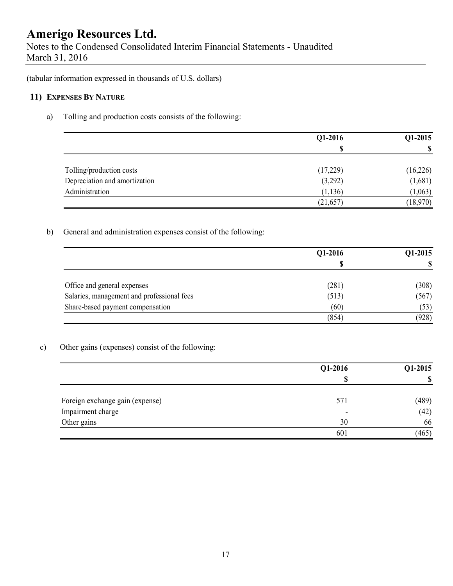Notes to the Condensed Consolidated Interim Financial Statements - Unaudited March 31, 2016

(tabular information expressed in thousands of U.S. dollars)

### **11) EXPENSES BY NATURE**

### a) Tolling and production costs consists of the following:

|                               | Q1-2016   | Q1-2015  |  |
|-------------------------------|-----------|----------|--|
|                               | S         | S        |  |
| Tolling/production costs      | (17,229)  | (16,226) |  |
| Depreciation and amortization | (3,292)   | (1,681)  |  |
| Administration                | (1, 136)  | (1,063)  |  |
|                               | (21, 657) | (18,970) |  |

### b) General and administration expenses consist of the following:

|                                            | Q1-2016 | Q1-2015  |
|--------------------------------------------|---------|----------|
|                                            | œ<br>D  | <b>S</b> |
| Office and general expenses                | (281)   | (308)    |
| Salaries, management and professional fees | (513)   | (567)    |
| Share-based payment compensation           | (60)    | (53)     |
|                                            | (854)   | (928)    |

### c) Other gains (expenses) consist of the following:

|                                 | Q1-2016                  | Q1-2015 |  |
|---------------------------------|--------------------------|---------|--|
|                                 | ጦ                        | \$      |  |
| Foreign exchange gain (expense) | 571                      | (489)   |  |
| Impairment charge               | $\overline{\phantom{0}}$ | (42)    |  |
| Other gains                     | 30                       | 66      |  |
|                                 | 601                      | (465)   |  |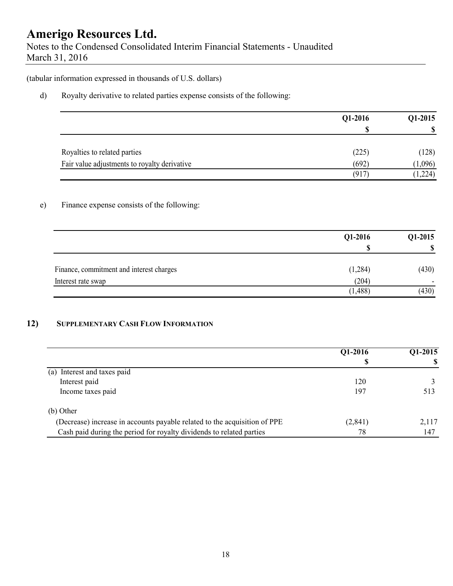Notes to the Condensed Consolidated Interim Financial Statements - Unaudited March 31, 2016

(tabular information expressed in thousands of U.S. dollars)

d) Royalty derivative to related parties expense consists of the following:

|                                              | Q1-2016 | Q1-2015 |  |
|----------------------------------------------|---------|---------|--|
|                                              | €       | \$      |  |
| Royalties to related parties                 | (225)   | (128)   |  |
| Fair value adjustments to royalty derivative | (692)   | 1,096   |  |
|                                              | (917)   | (1,224) |  |

### e) Finance expense consists of the following:

|                                          | Q1-2016  | $Q1-2015$                |
|------------------------------------------|----------|--------------------------|
|                                          | S        | S                        |
| Finance, commitment and interest charges | (1,284)  | (430)                    |
| Interest rate swap                       | (204)    | $\overline{\phantom{0}}$ |
|                                          | (1, 488) | (430)                    |

### **12) SUPPLEMENTARY CASH FLOW INFORMATION**

|                                                                           | Q1-2016  | Q1-2015 |
|---------------------------------------------------------------------------|----------|---------|
|                                                                           |          |         |
| Interest and taxes paid<br>(a)                                            |          |         |
| Interest paid                                                             | 120      |         |
| Income taxes paid                                                         | 197      | 513     |
| (b) Other                                                                 |          |         |
| (Decrease) increase in accounts payable related to the acquisition of PPE | (2, 841) | 2,117   |
| Cash paid during the period for royalty dividends to related parties      | 78       | 147     |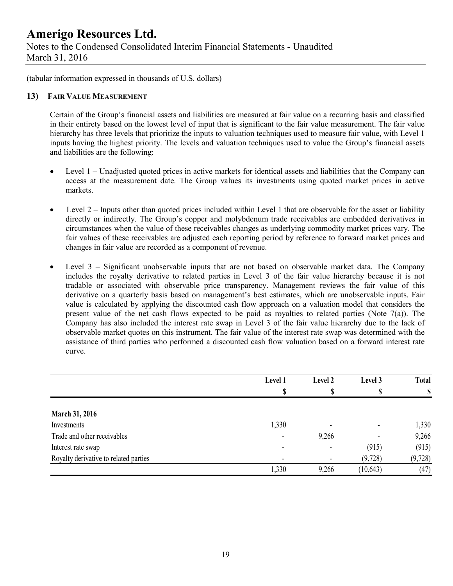Notes to the Condensed Consolidated Interim Financial Statements - Unaudited March 31, 2016

(tabular information expressed in thousands of U.S. dollars)

#### **13) FAIR VALUE MEASUREMENT**

Certain of the Group's financial assets and liabilities are measured at fair value on a recurring basis and classified in their entirety based on the lowest level of input that is significant to the fair value measurement. The fair value hierarchy has three levels that prioritize the inputs to valuation techniques used to measure fair value, with Level 1 inputs having the highest priority. The levels and valuation techniques used to value the Group's financial assets and liabilities are the following:

- Level 1 Unadjusted quoted prices in active markets for identical assets and liabilities that the Company can access at the measurement date. The Group values its investments using quoted market prices in active markets.
- $\bullet$  Level 2 Inputs other than quoted prices included within Level 1 that are observable for the asset or liability directly or indirectly. The Group's copper and molybdenum trade receivables are embedded derivatives in circumstances when the value of these receivables changes as underlying commodity market prices vary. The fair values of these receivables are adjusted each reporting period by reference to forward market prices and changes in fair value are recorded as a component of revenue.
- Level 3 Significant unobservable inputs that are not based on observable market data. The Company includes the royalty derivative to related parties in Level 3 of the fair value hierarchy because it is not tradable or associated with observable price transparency. Management reviews the fair value of this derivative on a quarterly basis based on management's best estimates, which are unobservable inputs. Fair value is calculated by applying the discounted cash flow approach on a valuation model that considers the present value of the net cash flows expected to be paid as royalties to related parties (Note 7(a)). The Company has also included the interest rate swap in Level 3 of the fair value hierarchy due to the lack of observable market quotes on this instrument. The fair value of the interest rate swap was determined with the assistance of third parties who performed a discounted cash flow valuation based on a forward interest rate curve.

|                                       | Level 1 | Level 2 | Level 3                  | <b>Total</b> |
|---------------------------------------|---------|---------|--------------------------|--------------|
|                                       |         |         | Φ                        | $\mathbf S$  |
| <b>March 31, 2016</b>                 |         |         |                          |              |
| Investments                           | 1,330   |         |                          | 1,330        |
| Trade and other receivables           | ۰       | 9,266   | $\overline{\phantom{0}}$ | 9,266        |
| Interest rate swap                    | $\,$    |         | (915)                    | (915)        |
| Royalty derivative to related parties | ٠       |         | (9,728)                  | (9, 728)     |
|                                       | 1,330   | 9,266   | (10, 643)                | (47)         |